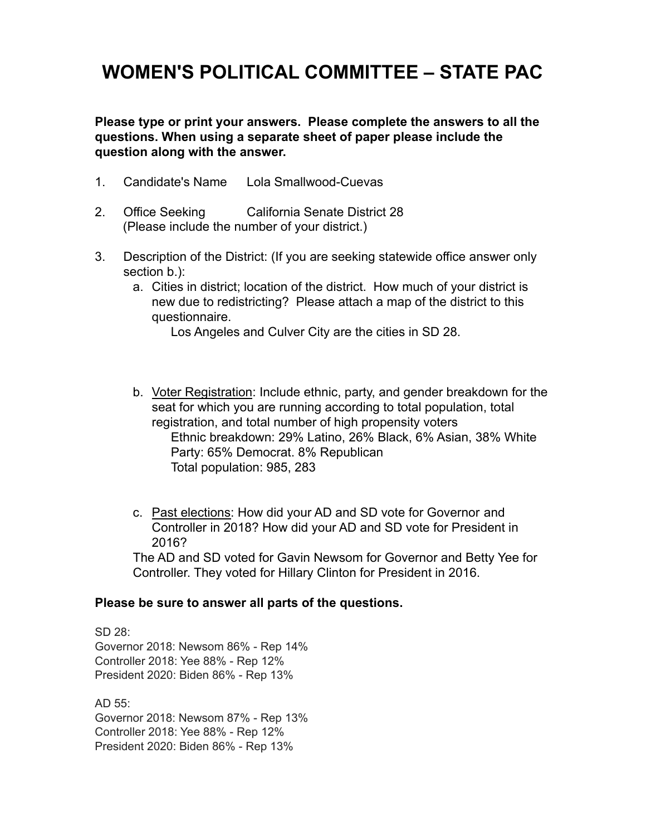## **WOMEN'S POLITICAL COMMITTEE – STATE PAC**

**Please type or print your answers. Please complete the answers to all the questions. When using a separate sheet of paper please include the question along with the answer.**

- 1. Candidate's Name Lola Smallwood-Cuevas
- 2. Office Seeking California Senate District 28 (Please include the number of your district.)
- 3. Description of the District: (If you are seeking statewide office answer only section b.):
	- a. Cities in district; location of the district. How much of your district is new due to redistricting? Please attach a map of the district to this questionnaire.

Los Angeles and Culver City are the cities in SD 28.

- b. Voter Registration: Include ethnic, party, and gender breakdown for the seat for which you are running according to total population, total registration, and total number of high propensity voters Ethnic breakdown: 29% Latino, 26% Black, 6% Asian, 38% White Party: 65% Democrat. 8% Republican Total population: 985, 283
- c. Past elections: How did your AD and SD vote for Governor and Controller in 2018? How did your AD and SD vote for President in 2016?

The AD and SD voted for Gavin Newsom for Governor and Betty Yee for Controller. They voted for Hillary Clinton for President in 2016.

## **Please be sure to answer all parts of the questions.**

SD 28: Governor 2018: Newsom 86% - Rep 14% Controller 2018: Yee 88% - Rep 12% President 2020: Biden 86% - Rep 13%

AD 55: Governor 2018: Newsom 87% - Rep 13% Controller 2018: Yee 88% - Rep 12% President 2020: Biden 86% - Rep 13%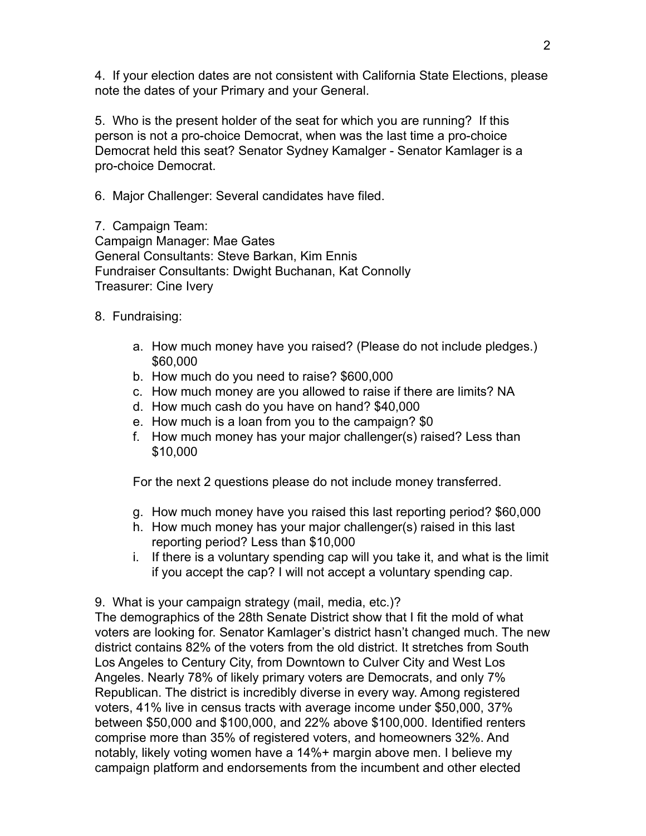4. If your election dates are not consistent with California State Elections, please note the dates of your Primary and your General.

5. Who is the present holder of the seat for which you are running? If this person is not a pro-choice Democrat, when was the last time a pro-choice Democrat held this seat? Senator Sydney Kamalger - Senator Kamlager is a pro-choice Democrat.

6. Major Challenger: Several candidates have filed.

7. Campaign Team: Campaign Manager: Mae Gates General Consultants: Steve Barkan, Kim Ennis Fundraiser Consultants: Dwight Buchanan, Kat Connolly Treasurer: Cine Ivery

- 8. Fundraising:
	- a. How much money have you raised? (Please do not include pledges.) \$60,000
	- b. How much do you need to raise? \$600,000
	- c. How much money are you allowed to raise if there are limits? NA
	- d. How much cash do you have on hand? \$40,000
	- e. How much is a loan from you to the campaign? \$0
	- f. How much money has your major challenger(s) raised? Less than \$10,000

For the next 2 questions please do not include money transferred.

- g. How much money have you raised this last reporting period? \$60,000
- h. How much money has your major challenger(s) raised in this last reporting period? Less than \$10,000
- i. If there is a voluntary spending cap will you take it, and what is the limit if you accept the cap? I will not accept a voluntary spending cap.

9. What is your campaign strategy (mail, media, etc.)?

The demographics of the 28th Senate District show that I fit the mold of what voters are looking for. Senator Kamlager's district hasn't changed much. The new district contains 82% of the voters from the old district. It stretches from South Los Angeles to Century City, from Downtown to Culver City and West Los Angeles. Nearly 78% of likely primary voters are Democrats, and only 7% Republican. The district is incredibly diverse in every way. Among registered voters, 41% live in census tracts with average income under \$50,000, 37% between \$50,000 and \$100,000, and 22% above \$100,000. Identified renters comprise more than 35% of registered voters, and homeowners 32%. And notably, likely voting women have a 14%+ margin above men. I believe my campaign platform and endorsements from the incumbent and other elected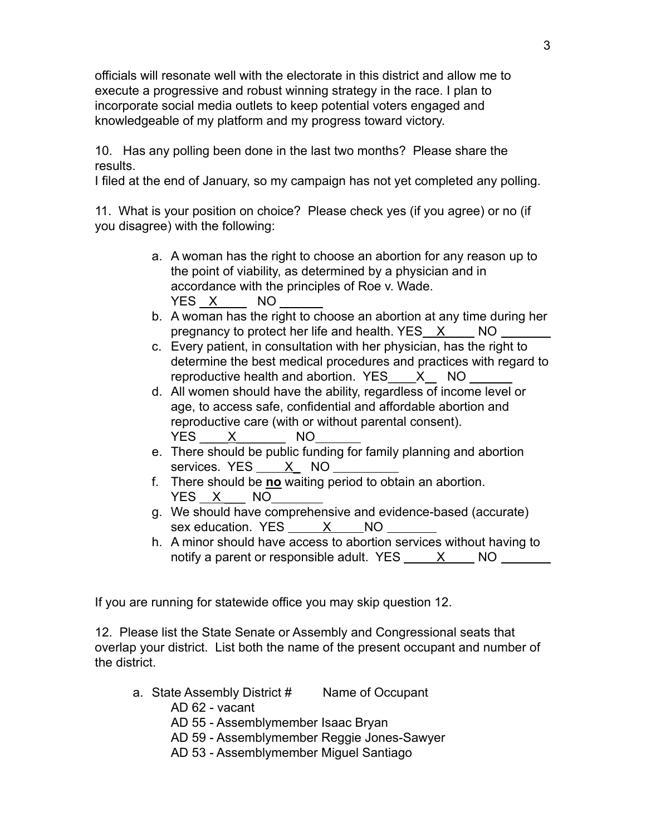officials will resonate well with the electorate in this district and allow me to execute a progressive and robust winning strategy in the race. I plan to incorporate social media outlets to keep potential voters engaged and knowledgeable of my platform and my progress toward victory.

10. Has any polling been done in the last two months? Please share the results.

I filed at the end of January, so my campaign has not yet completed any polling.

11. What is your position on choice? Please check yes (if you agree) or no (if you disagree) with the following:

- a. A woman has the right to choose an abortion for any reason up to the point of viability, as determined by a physician and in accordance with the principles of Roe v. Wade. YES X NO
- b. A woman has the right to choose an abortion at any time during her pregnancy to protect her life and health. YES X NO
- c. Every patient, in consultation with her physician, has the right to determine the best medical procedures and practices with regard to reproductive health and abortion. YES X NO
- d. All women should have the ability, regardless of income level or age, to access safe, confidential and affordable abortion and reproductive care (with or without parental consent). YES X NO
- e. There should be public funding for family planning and abortion services. YES X NO
- f. There should be **no** waiting period to obtain an abortion. YES X NO
- g. We should have comprehensive and evidence-based (accurate) sex education. YES X NO
- h. A minor should have access to abortion services without having to notify a parent or responsible adult.  $YES - X - NO$

If you are running for statewide office you may skip question 12.

12. Please list the State Senate or Assembly and Congressional seats that overlap your district. List both the name of the present occupant and number of the district.

- a. State Assembly District # Name of Occupant
	- AD 62 vacant
	- AD 55 Assemblymember Isaac Bryan
	- AD 59 Assemblymember Reggie Jones-Sawyer
	- AD 53 Assemblymember Miguel Santiago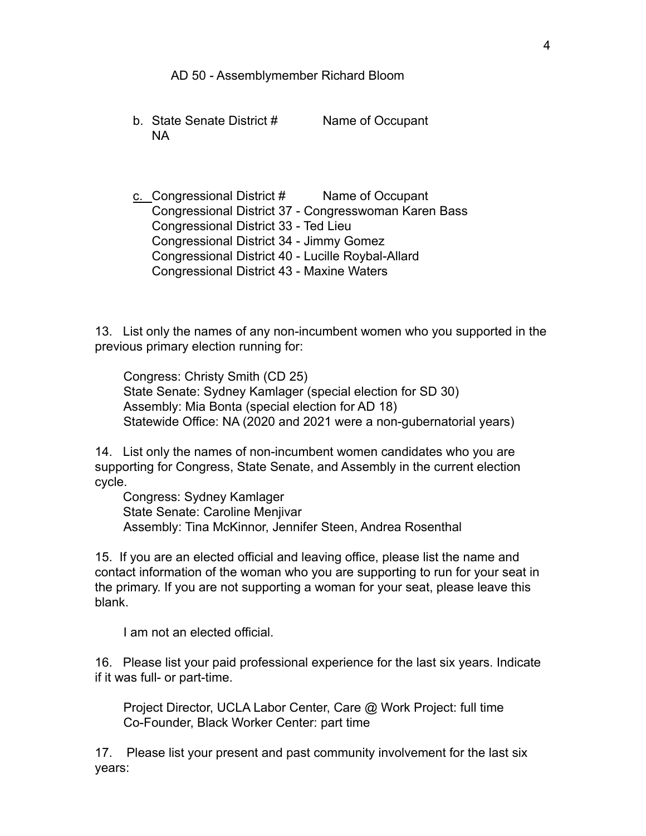AD 50 - Assemblymember Richard Bloom

b. State Senate District # Name of Occupant NA

c. Congressional District # Name of Occupant Congressional District 37 - Congresswoman Karen Bass Congressional District 33 - Ted Lieu Congressional District 34 - Jimmy Gomez Congressional District 40 - Lucille Roybal-Allard Congressional District 43 - Maxine Waters

13. List only the names of any non-incumbent women who you supported in the previous primary election running for:

Congress: Christy Smith (CD 25) State Senate: Sydney Kamlager (special election for SD 30) Assembly: Mia Bonta (special election for AD 18) Statewide Office: NA (2020 and 2021 were a non-gubernatorial years)

14. List only the names of non-incumbent women candidates who you are supporting for Congress, State Senate, and Assembly in the current election cycle.

Congress: Sydney Kamlager State Senate: Caroline Menjivar Assembly: Tina McKinnor, Jennifer Steen, Andrea Rosenthal

15. If you are an elected official and leaving office, please list the name and contact information of the woman who you are supporting to run for your seat in the primary. If you are not supporting a woman for your seat, please leave this blank.

I am not an elected official.

16. Please list your paid professional experience for the last six years. Indicate if it was full- or part-time.

Project Director, UCLA Labor Center, Care @ Work Project: full time Co-Founder, Black Worker Center: part time

17. Please list your present and past community involvement for the last six years: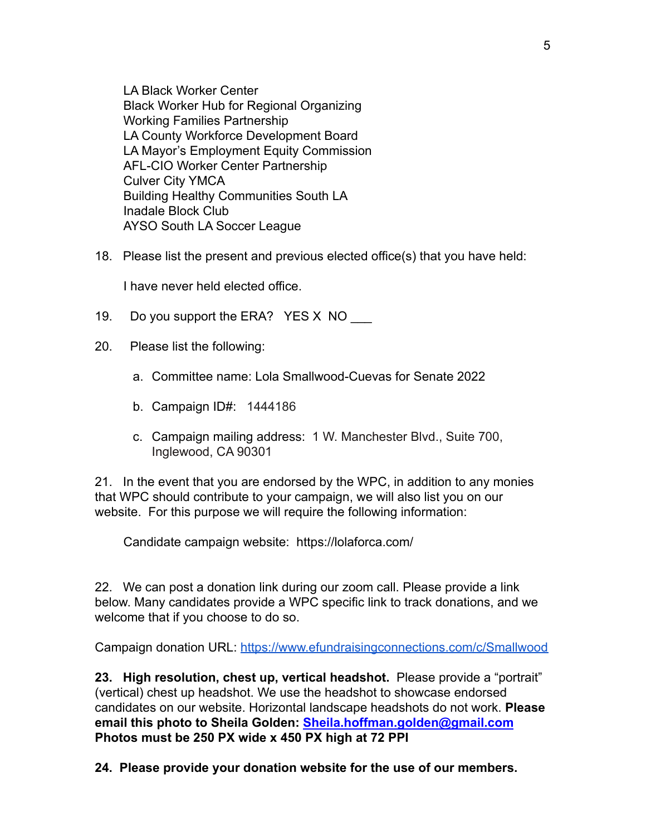LA Black Worker Center Black Worker Hub for Regional Organizing Working Families Partnership LA County Workforce Development Board LA Mayor's Employment Equity Commission AFL-CIO Worker Center Partnership Culver City YMCA Building Healthy Communities South LA Inadale Block Club AYSO South LA Soccer League

18. Please list the present and previous elected office(s) that you have held:

I have never held elected office.

- 19. Do you support the ERA? YES X NO
- 20. Please list the following:
	- a. Committee name: Lola Smallwood-Cuevas for Senate 2022
	- b. Campaign ID#: 1444186
	- c. Campaign mailing address: 1 W. Manchester Blvd., Suite 700, Inglewood, CA 90301

21. In the event that you are endorsed by the WPC, in addition to any monies that WPC should contribute to your campaign, we will also list you on our website. For this purpose we will require the following information:

Candidate campaign website: https://lolaforca.com/

22. We can post a donation link during our zoom call. Please provide a link below. Many candidates provide a WPC specific link to track donations, and we welcome that if you choose to do so.

Campaign donation URL: <https://www.efundraisingconnections.com/c/Smallwood>

**23. High resolution, chest up, vertical headshot.** Please provide a "portrait" (vertical) chest up headshot. We use the headshot to showcase endorsed candidates on our website. Horizontal landscape headshots do not work. **Please email this photo to Sheila Golden: [Sheila.hoffman.golden@gmail.com](mailto:Sheila.hoffman.golden@gmail.com) Photos must be 250 PX wide x 450 PX high at 72 PPI**

**24. Please provide your donation website for the use of our members.**